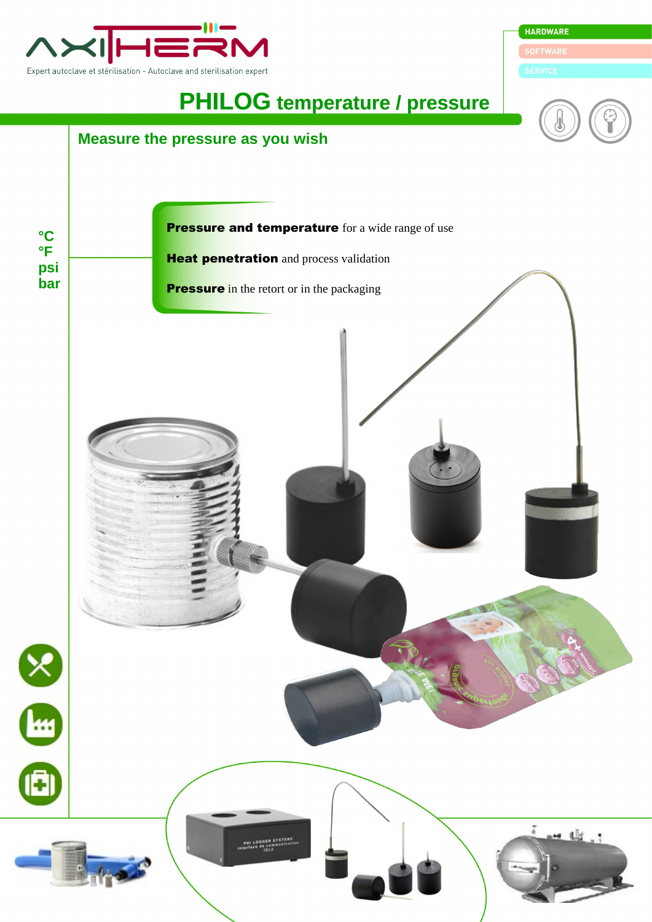

**HARDWARE** 

## **PHILOG temperature / pressure**